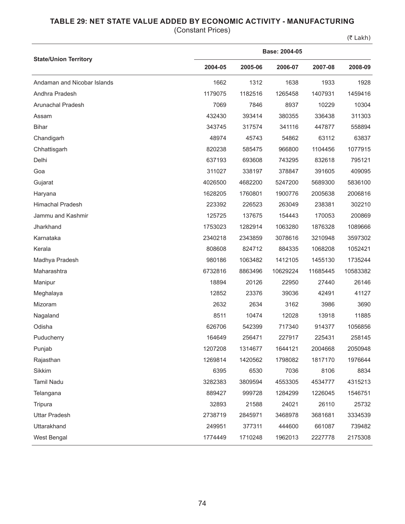## **TABLE 29: NET STATE VALUE ADDED BY ECONOMIC ACTIVITY - MANUFACTURING**

(Constant Prices)

 $(5$  Lakh)

|                              | Base: 2004-05 |         |          |          |          |  |  |  |
|------------------------------|---------------|---------|----------|----------|----------|--|--|--|
| <b>State/Union Territory</b> | 2004-05       | 2005-06 | 2006-07  | 2007-08  | 2008-09  |  |  |  |
| Andaman and Nicobar Islands  | 1662          | 1312    | 1638     | 1933     | 1928     |  |  |  |
| Andhra Pradesh               | 1179075       | 1182516 | 1265458  | 1407931  | 1459416  |  |  |  |
| Arunachal Pradesh            | 7069          | 7846    | 8937     | 10229    | 10304    |  |  |  |
| Assam                        | 432430        | 393414  | 380355   | 336438   | 311303   |  |  |  |
| <b>Bihar</b>                 | 343745        | 317574  | 341116   | 447877   | 558894   |  |  |  |
| Chandigarh                   | 48974         | 45743   | 54862    | 63112    | 63837    |  |  |  |
| Chhattisgarh                 | 820238        | 585475  | 966800   | 1104456  | 1077915  |  |  |  |
| Delhi                        | 637193        | 693608  | 743295   | 832618   | 795121   |  |  |  |
| Goa                          | 311027        | 338197  | 378847   | 391605   | 409095   |  |  |  |
| Gujarat                      | 4026500       | 4682200 | 5247200  | 5689300  | 5836100  |  |  |  |
| Haryana                      | 1628205       | 1760801 | 1900776  | 2005638  | 2006816  |  |  |  |
| <b>Himachal Pradesh</b>      | 223392        | 226523  | 263049   | 238381   | 302210   |  |  |  |
| Jammu and Kashmir            | 125725        | 137675  | 154443   | 170053   | 200869   |  |  |  |
| Jharkhand                    | 1753023       | 1282914 | 1063280  | 1876328  | 1089666  |  |  |  |
| Karnataka                    | 2340218       | 2343859 | 3078616  | 3210948  | 3597302  |  |  |  |
| Kerala                       | 808608        | 824712  | 884335   | 1068208  | 1052421  |  |  |  |
| Madhya Pradesh               | 980186        | 1063482 | 1412105  | 1455130  | 1735244  |  |  |  |
| Maharashtra                  | 6732816       | 8863496 | 10629224 | 11685445 | 10583382 |  |  |  |
| Manipur                      | 18894         | 20126   | 22950    | 27440    | 26146    |  |  |  |
| Meghalaya                    | 12852         | 23376   | 39036    | 42491    | 41127    |  |  |  |
| Mizoram                      | 2632          | 2634    | 3162     | 3986     | 3690     |  |  |  |
| Nagaland                     | 8511          | 10474   | 12028    | 13918    | 11885    |  |  |  |
| Odisha                       | 626706        | 542399  | 717340   | 914377   | 1056856  |  |  |  |
| Puducherry                   | 164649        | 256471  | 227917   | 225431   | 258145   |  |  |  |
| Punjab                       | 1207208       | 1314677 | 1644121  | 2004668  | 2050948  |  |  |  |
| Rajasthan                    | 1269814       | 1420562 | 1798082  | 1817170  | 1976644  |  |  |  |
| Sikkim                       | 6395          | 6530    | 7036     | 8106     | 8834     |  |  |  |
| <b>Tamil Nadu</b>            | 3282383       | 3809594 | 4553305  | 4534777  | 4315213  |  |  |  |
| Telangana                    | 889427        | 999728  | 1284299  | 1226045  | 1546751  |  |  |  |
| Tripura                      | 32893         | 21588   | 24021    | 26110    | 25732    |  |  |  |
| <b>Uttar Pradesh</b>         | 2738719       | 2845971 | 3468978  | 3681681  | 3334539  |  |  |  |
| Uttarakhand                  | 249951        | 377311  | 444600   | 661087   | 739482   |  |  |  |
| West Bengal                  | 1774449       | 1710248 | 1962013  | 2227778  | 2175308  |  |  |  |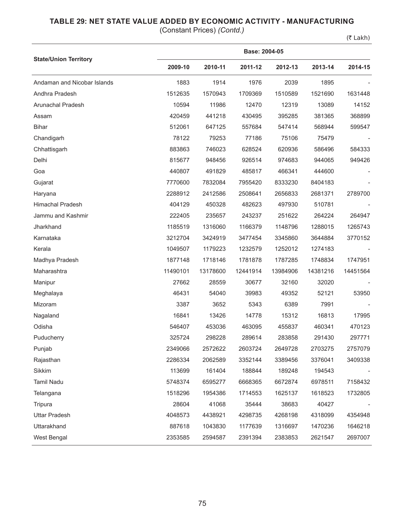## **TABLE 29: NET STATE VALUE ADDED BY ECONOMIC ACTIVITY - MANUFACTURING**

(Constant Prices) *(Contd.)*

(₹ Lakh)

|                              |          | Base: 2004-05 |          |          |          |          |  |  |  |
|------------------------------|----------|---------------|----------|----------|----------|----------|--|--|--|
| <b>State/Union Territory</b> | 2009-10  | 2010-11       | 2011-12  | 2012-13  | 2013-14  | 2014-15  |  |  |  |
| Andaman and Nicobar Islands  | 1883     | 1914          | 1976     | 2039     | 1895     |          |  |  |  |
| Andhra Pradesh               | 1512635  | 1570943       | 1709369  | 1510589  | 1521690  | 1631448  |  |  |  |
| Arunachal Pradesh            | 10594    | 11986         | 12470    | 12319    | 13089    | 14152    |  |  |  |
| Assam                        | 420459   | 441218        | 430495   | 395285   | 381365   | 368899   |  |  |  |
| <b>Bihar</b>                 | 512061   | 647125        | 557684   | 547414   | 568944   | 599547   |  |  |  |
| Chandigarh                   | 78122    | 79253         | 77186    | 75106    | 75479    |          |  |  |  |
| Chhattisgarh                 | 883863   | 746023        | 628524   | 620936   | 586496   | 584333   |  |  |  |
| Delhi                        | 815677   | 948456        | 926514   | 974683   | 944065   | 949426   |  |  |  |
| Goa                          | 440807   | 491829        | 485817   | 466341   | 444600   |          |  |  |  |
| Gujarat                      | 7770600  | 7832084       | 7955420  | 8333230  | 8404183  |          |  |  |  |
| Haryana                      | 2288912  | 2412586       | 2508641  | 2656833  | 2681371  | 2789700  |  |  |  |
| <b>Himachal Pradesh</b>      | 404129   | 450328        | 482623   | 497930   | 510781   |          |  |  |  |
| Jammu and Kashmir            | 222405   | 235657        | 243237   | 251622   | 264224   | 264947   |  |  |  |
| Jharkhand                    | 1185519  | 1316060       | 1166379  | 1148796  | 1288015  | 1265743  |  |  |  |
| Karnataka                    | 3212704  | 3424919       | 3477454  | 3345860  | 3644884  | 3770152  |  |  |  |
| Kerala                       | 1049507  | 1179223       | 1232579  | 1252012  | 1274183  |          |  |  |  |
| Madhya Pradesh               | 1877148  | 1718146       | 1781878  | 1787285  | 1748834  | 1747951  |  |  |  |
| Maharashtra                  | 11490101 | 13178600      | 12441914 | 13984906 | 14381216 | 14451564 |  |  |  |
| Manipur                      | 27662    | 28559         | 30677    | 32160    | 32020    |          |  |  |  |
| Meghalaya                    | 46431    | 54040         | 39983    | 49352    | 52121    | 53950    |  |  |  |
| Mizoram                      | 3387     | 3652          | 5343     | 6389     | 7991     |          |  |  |  |
| Nagaland                     | 16841    | 13426         | 14778    | 15312    | 16813    | 17995    |  |  |  |
| Odisha                       | 546407   | 453036        | 463095   | 455837   | 460341   | 470123   |  |  |  |
| Puducherry                   | 325724   | 298228        | 289614   | 283858   | 291430   | 297771   |  |  |  |
| Punjab                       | 2349066  | 2572622       | 2603724  | 2649728  | 2703275  | 2757079  |  |  |  |
| Rajasthan                    | 2286334  | 2062589       | 3352144  | 3389456  | 3376041  | 3409338  |  |  |  |
| Sikkim                       | 113699   | 161404        | 188844   | 189248   | 194543   |          |  |  |  |
| <b>Tamil Nadu</b>            | 5748374  | 6595277       | 6668365  | 6672874  | 6978511  | 7158432  |  |  |  |
| Telangana                    | 1518296  | 1954386       | 1714553  | 1625137  | 1618523  | 1732805  |  |  |  |
| Tripura                      | 28604    | 41068         | 35444    | 38683    | 40427    |          |  |  |  |
| <b>Uttar Pradesh</b>         | 4048573  | 4438921       | 4298735  | 4268198  | 4318099  | 4354948  |  |  |  |
| Uttarakhand                  | 887618   | 1043830       | 1177639  | 1316697  | 1470236  | 1646218  |  |  |  |
| West Bengal                  | 2353585  | 2594587       | 2391394  | 2383853  | 2621547  | 2697007  |  |  |  |